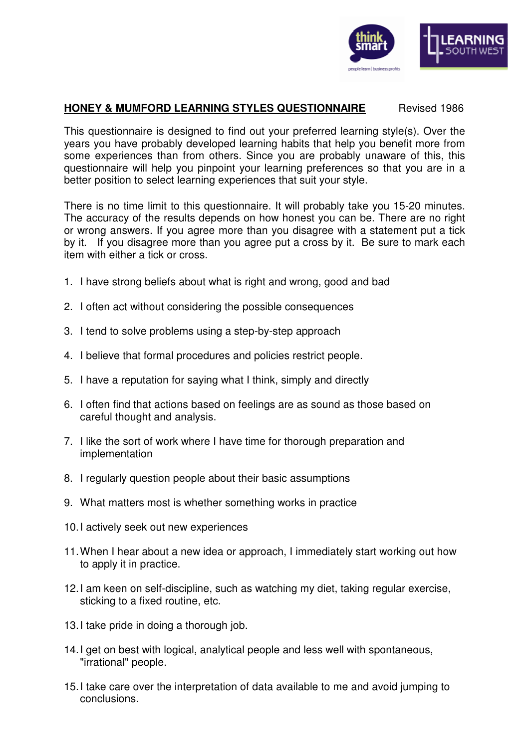

### **HONEY & MUMFORD LEARNING STYLES QUESTIONNAIRE** Revised 1986

This questionnaire is designed to find out your preferred learning style(s). Over the years you have probably developed learning habits that help you benefit more from some experiences than from others. Since you are probably unaware of this, this questionnaire will help you pinpoint your learning preferences so that you are in a better position to select learning experiences that suit your style.

There is no time limit to this questionnaire. It will probably take you 15-20 minutes. The accuracy of the results depends on how honest you can be. There are no right or wrong answers. If you agree more than you disagree with a statement put a tick by it. If you disagree more than you agree put a cross by it. Be sure to mark each item with either a tick or cross.

- 1. I have strong beliefs about what is right and wrong, good and bad
- 2. I often act without considering the possible consequences
- 3. I tend to solve problems using a step-by-step approach
- 4. I believe that formal procedures and policies restrict people.
- 5. I have a reputation for saying what I think, simply and directly
- 6. I often find that actions based on feelings are as sound as those based on careful thought and analysis.
- 7. I like the sort of work where I have time for thorough preparation and implementation
- 8. I regularly question people about their basic assumptions
- 9. What matters most is whether something works in practice
- 10. I actively seek out new experiences
- 11. When I hear about a new idea or approach, I immediately start working out how to apply it in practice.
- 12. I am keen on self-discipline, such as watching my diet, taking regular exercise, sticking to a fixed routine, etc.
- 13. I take pride in doing a thorough job.
- 14. I get on best with logical, analytical people and less well with spontaneous, "irrational" people.
- 15. I take care over the interpretation of data available to me and avoid jumping to conclusions.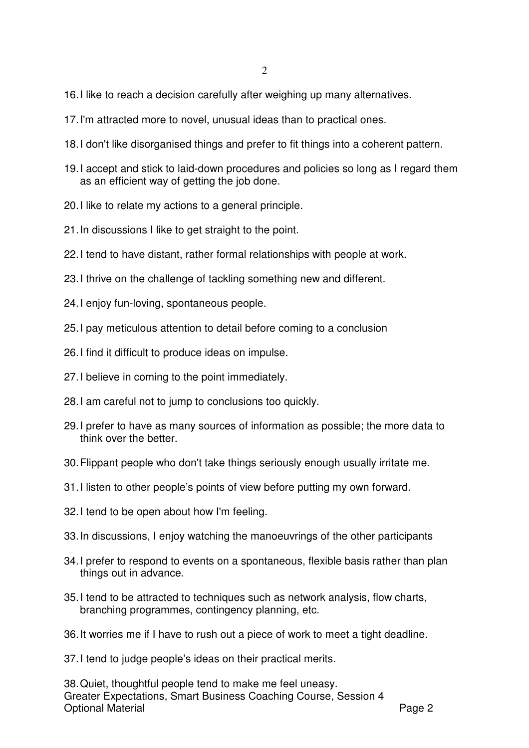- 16. I like to reach a decision carefully after weighing up many alternatives.
- 17. I'm attracted more to novel, unusual ideas than to practical ones.
- 18. I don't like disorganised things and prefer to fit things into a coherent pattern.
- 19. I accept and stick to laid-down procedures and policies so long as I regard them as an efficient way of getting the job done.
- 20. I like to relate my actions to a general principle.
- 21. In discussions I like to get straight to the point.
- 22. I tend to have distant, rather formal relationships with people at work.
- 23. I thrive on the challenge of tackling something new and different.
- 24. I enjoy fun-loving, spontaneous people.
- 25. I pay meticulous attention to detail before coming to a conclusion
- 26. I find it difficult to produce ideas on impulse.
- 27. I believe in coming to the point immediately.
- 28. I am careful not to jump to conclusions too quickly.
- 29. I prefer to have as many sources of information as possible; the more data to think over the better.
- 30. Flippant people who don't take things seriously enough usually irritate me.
- 31. I listen to other people's points of view before putting my own forward.
- 32. I tend to be open about how I'm feeling.
- 33. In discussions, I enjoy watching the manoeuvrings of the other participants
- 34. I prefer to respond to events on a spontaneous, flexible basis rather than plan things out in advance.
- 35. I tend to be attracted to techniques such as network analysis, flow charts, branching programmes, contingency planning, etc.
- 36. It worries me if I have to rush out a piece of work to meet a tight deadline.
- 37. I tend to judge people's ideas on their practical merits.

Greater Expectations, Smart Business Coaching Course, Session 4 Optional Material **Page 2** 38. Quiet, thoughtful people tend to make me feel uneasy.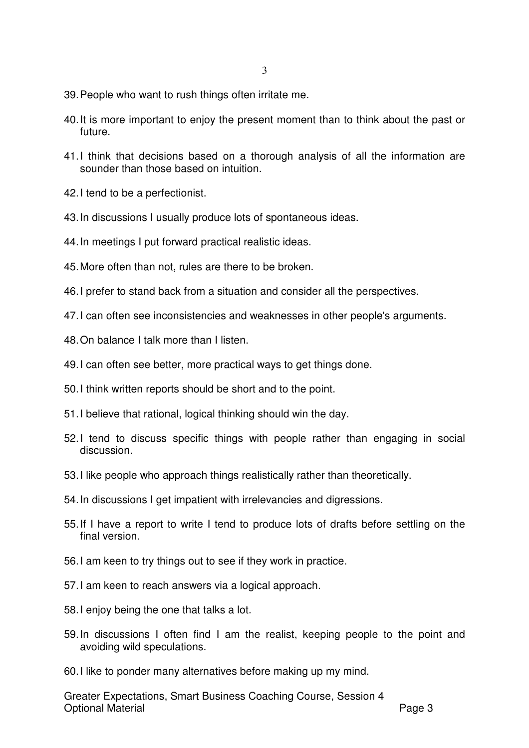- 39. People who want to rush things often irritate me.
- 40. It is more important to enjoy the present moment than to think about the past or future.
- 41. I think that decisions based on a thorough analysis of all the information are sounder than those based on intuition.
- 42. I tend to be a perfectionist.
- 43. In discussions I usually produce lots of spontaneous ideas.
- 44. In meetings I put forward practical realistic ideas.
- 45. More often than not, rules are there to be broken.
- 46. I prefer to stand back from a situation and consider all the perspectives.
- 47. I can often see inconsistencies and weaknesses in other people's arguments.
- 48. On balance I talk more than I listen.
- 49. I can often see better, more practical ways to get things done.
- 50. I think written reports should be short and to the point.
- 51. I believe that rational, logical thinking should win the day.
- 52. I tend to discuss specific things with people rather than engaging in social discussion.
- 53. I like people who approach things realistically rather than theoretically.
- 54. In discussions I get impatient with irrelevancies and digressions.
- 55. If I have a report to write I tend to produce lots of drafts before settling on the final version.
- 56. I am keen to try things out to see if they work in practice.
- 57. I am keen to reach answers via a logical approach.
- 58. I enjoy being the one that talks a lot.
- 59. In discussions I often find I am the realist, keeping people to the point and avoiding wild speculations.
- 60. I like to ponder many alternatives before making up my mind.

Greater Expectations, Smart Business Coaching Course, Session 4 Optional Material **Page 3**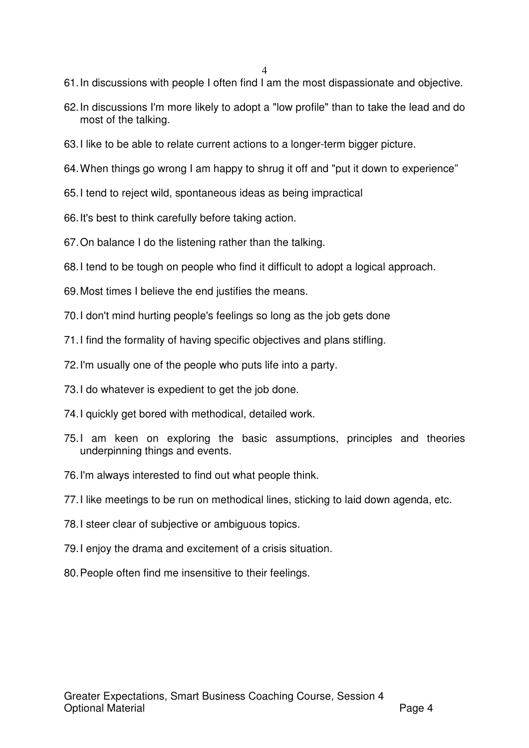- 61. In discussions with people I often find I am the most dispassionate and objective.
- 62. In discussions I'm more likely to adopt a "low profile" than to take the lead and do most of the talking.
- 63. I like to be able to relate current actions to a longer-term bigger picture.
- 64. When things go wrong I am happy to shrug it off and "put it down to experience"
- 65. I tend to reject wild, spontaneous ideas as being impractical
- 66. It's best to think carefully before taking action.
- 67. On balance I do the listening rather than the talking.
- 68. I tend to be tough on people who find it difficult to adopt a logical approach.
- 69. Most times I believe the end justifies the means.
- 70. I don't mind hurting people's feelings so long as the job gets done
- 71. I find the formality of having specific objectives and plans stifling.
- 72. I'm usually one of the people who puts life into a party.
- 73. I do whatever is expedient to get the job done.
- 74. I quickly get bored with methodical, detailed work.
- 75. I am keen on exploring the basic assumptions, principles and theories underpinning things and events.
- 76. I'm always interested to find out what people think.
- 77. I like meetings to be run on methodical lines, sticking to laid down agenda, etc.
- 78. I steer clear of subjective or ambiguous topics.
- 79. I enjoy the drama and excitement of a crisis situation.
- 80. People often find me insensitive to their feelings.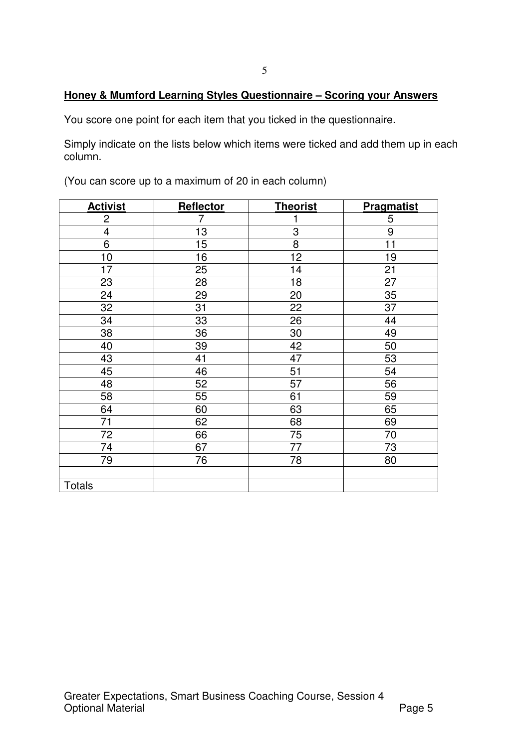# **Honey & Mumford Learning Styles Questionnaire – Scoring your Answers**

You score one point for each item that you ticked in the questionnaire.

Simply indicate on the lists below which items were ticked and add them up in each column.

| <b>Activist</b>         | Reflector | <b>Theorist</b> | <b>Pragmatist</b> |
|-------------------------|-----------|-----------------|-------------------|
| $\overline{c}$          | 7         | 1               | 5                 |
| $\overline{\mathbf{4}}$ | 13        | 3               | 9                 |
| 6                       | 15        | 8               | 11                |
| 10                      | 16        | 12              | 19                |
| 17                      | 25        | 14              | 21                |
| 23                      | 28        | 18              | 27                |
| 24                      | 29        | 20              | 35                |
| 32                      | 31        | 22              | 37                |
| 34                      | 33        | 26              | 44                |
| 38                      | 36        | 30              | 49                |
| 40                      | 39        | 42              | 50                |
| 43                      | 41        | 47              | 53                |
| 45                      | 46        | 51              | 54                |
| 48                      | 52        | 57              | 56                |
| 58                      | 55        | 61              | 59                |
| 64                      | 60        | 63              | 65                |
| 71                      | 62        | 68              | 69                |
| 72                      | 66        | 75              | 70                |
| 74                      | 67        | 77              | 73                |
| 79                      | 76        | 78              | 80                |
|                         |           |                 |                   |
| <b>Totals</b>           |           |                 |                   |

(You can score up to a maximum of 20 in each column)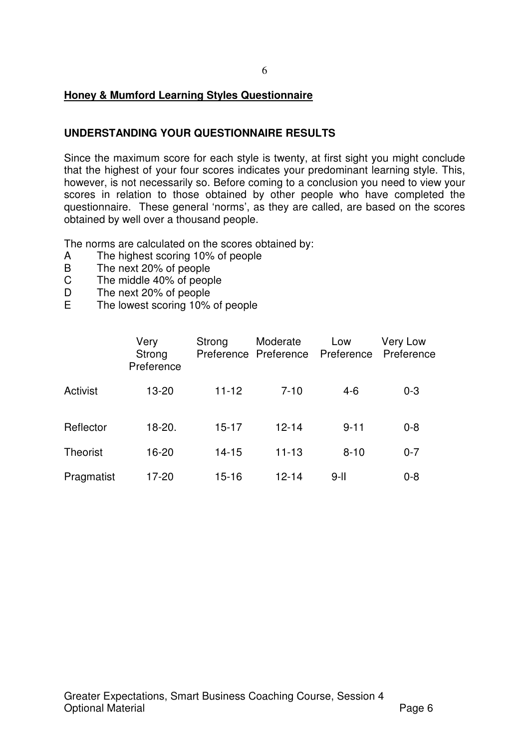## **Honey & Mumford Learning Styles Questionnaire**

# **UNDERSTANDING YOUR QUESTIONNAIRE RESULTS**

Since the maximum score for each style is twenty, at first sight you might conclude that the highest of your four scores indicates your predominant learning style. This, however, is not necessarily so. Before coming to a conclusion you need to view your scores in relation to those obtained by other people who have completed the questionnaire. These general 'norms', as they are called, are based on the scores obtained by well over a thousand people.

The norms are calculated on the scores obtained by:

- A The highest scoring 10% of people<br>B The next 20% of people
- The next 20% of people
- C The middle 40% of people
- D The next 20% of people<br>F The lowest scoring 10%
- The lowest scoring 10% of people

|            | Very<br>Strong<br>Preference | Strong    | Moderate<br>Preference Preference | Low<br>Preference | Very Low<br>Preference |
|------------|------------------------------|-----------|-----------------------------------|-------------------|------------------------|
| Activist   | 13-20                        | $11 - 12$ | $7 - 10$                          | $4-6$             | $0 - 3$                |
| Reflector  | $18 - 20.$                   | $15 - 17$ | $12 - 14$                         | $9 - 11$          | $0 - 8$                |
| Theorist   | 16-20                        | $14 - 15$ | $11 - 13$                         | $8 - 10$          | $0 - 7$                |
| Pragmatist | 17-20                        | $15 - 16$ | 12-14                             | $9-II$            | $0 - 8$                |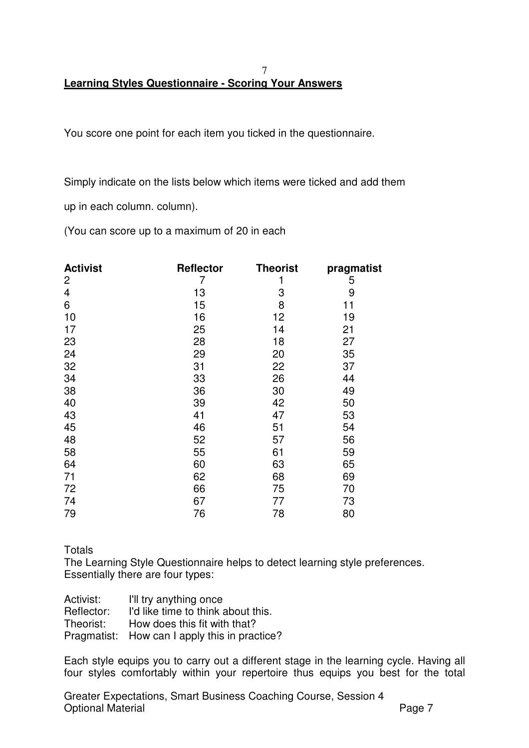#### 7 **Learning Styles Questionnaire - Scoring Your Answers**

You score one point for each item you ticked in the questionnaire.

Simply indicate on the lists below which items were ticked and add them

up in each column. column).

(You can score up to a maximum of 20 in each

| <b>Activist</b><br>2 | <b>Reflector</b><br>7 | <b>Theorist</b><br>1 | pragmatist<br>5 |
|----------------------|-----------------------|----------------------|-----------------|
| 4                    | 13                    | 3                    | 9               |
| 6                    | 15                    | 8                    | 11              |
| 10                   | 16                    | 12                   | 19              |
| 17                   | 25                    | 14                   | 21              |
| 23                   | 28                    | 18                   | 27              |
| 24                   | 29                    | 20                   | 35              |
| 32                   | 31                    | 22                   | 37              |
| 34                   | 33                    | 26                   | 44              |
| 38                   | 36                    | 30                   | 49              |
| 40                   | 39                    | 42                   | 50              |
| 43                   | 41                    | 47                   | 53              |
| 45                   | 46                    | 51                   | 54              |
| 48                   | 52                    | 57                   | 56              |
| 58                   | 55                    | 61                   | 59              |
| 64                   | 60                    | 63                   | 65              |
| 71                   | 62                    | 68                   | 69              |
| 72                   | 66                    | 75                   | 70              |
| 74                   | 67                    | 77                   | 73              |
| 79                   | 76                    | 78                   | 80              |

Totals

The Learning Style Questionnaire helps to detect learning style preferences. Essentially there are four types:

Activist: I'll try anything once Reflector: I'd like time to think about this. Theorist: How does this fit with that? Pragmatist: How can I apply this in practice?

Each style equips you to carry out a different stage in the learning cycle. Having all four styles comfortably within your repertoire thus equips you best for the total

Greater Expectations, Smart Business Coaching Course, Session 4 Optional Material **Page 7**